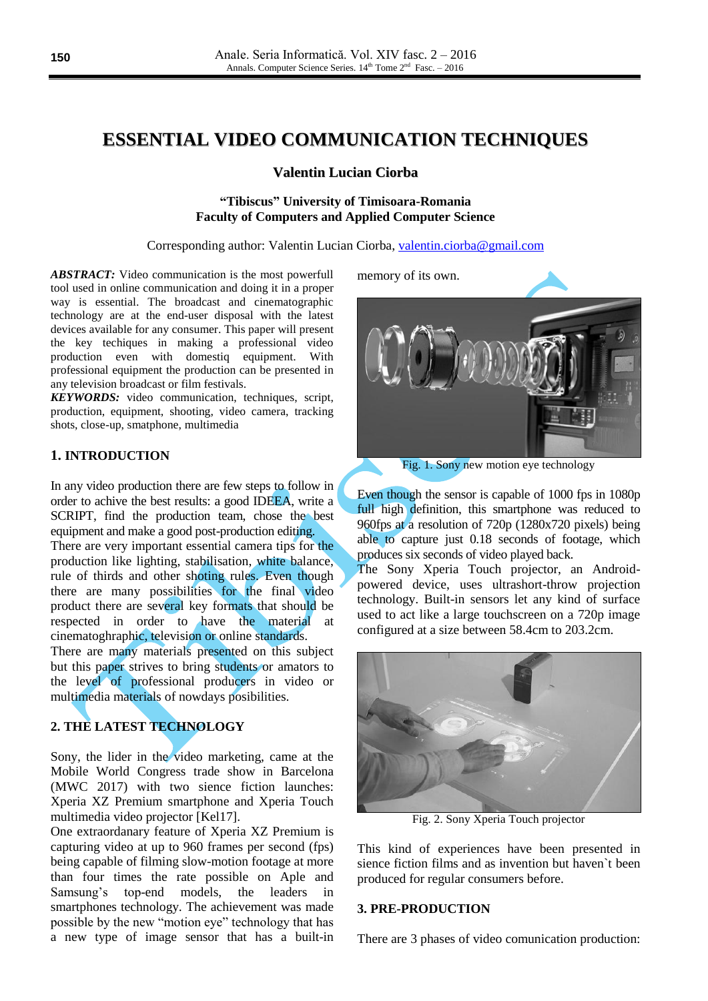# **ESSENTIAL VIDEO COMMUNICATION TECHNIQUES**

#### **Valentin Lucian Ciorba**

## **"Tibiscus" University of Timisoara-Romania Faculty of Computers and Applied Computer Science**

Corresponding author: Valentin Lucian Ciorba, [valentin.ciorba@gmail.com](mailto:valentin.ciorba@gmail.com)

*ABSTRACT:* Video communication is the most powerfull tool used in online communication and doing it in a proper way is essential. The broadcast and cinematographic technology are at the end-user disposal with the latest devices available for any consumer. This paper will present the key techiques in making a professional video production even with domestiq equipment. With professional equipment the production can be presented in any television broadcast or film festivals.

*KEYWORDS:* video communication, techniques, script, production, equipment, shooting, video camera, tracking shots, close-up, smatphone, multimedia

# **1. INTRODUCTION**

In any video production there are few steps to follow in order to achive the best results: a good IDEEA, write a SCRIPT, find the production team, chose the best equipment and make a good post-production editing. There are very important essential camera tips for the production like lighting, stabilisation, white balance, rule of thirds and other shoting rules. Even though there are many possibilities for the final video product there are several key formats that should be respected in order to have the material at cinematoghraphic, television or online standards.

There are many materials presented on this subject but this paper strives to bring students or amators to the level of professional producers in video or multimedia materials of nowdays posibilities.

# **2. THE LATEST TECHNOLOGY**

Sony, the lider in the video marketing, came at the Mobile World Congress trade show in Barcelona (MWC 2017) with two sience fiction launches: Xperia XZ Premium smartphone and Xperia Touch multimedia video projector [Kel17].

One extraordanary feature of Xperia XZ Premium is capturing video at up to 960 frames per second (fps) being capable of filming slow-motion footage at more than four times the rate possible on Aple and Samsung's top-end models, the leaders in smartphones technology. The achievement was made possible by the new "motion eye" technology that has a new type of image sensor that has a built-in

memory of its own.



Fig. 1. Sony new motion eye technology

Even though the sensor is capable of 1000 fps in 1080p full high definition, this smartphone was reduced to 960fps at a resolution of 720p (1280x720 pixels) being able to capture just 0.18 seconds of footage, which produces six seconds of video played back.

The Sony Xperia Touch projector, an Androidpowered device, uses ultrashort-throw projection technology. Built-in sensors let any kind of surface used to act like a large touchscreen on a 720p image configured at a size between 58.4cm to 203.2cm.



Fig. 2. Sony Xperia Touch projector

This kind of experiences have been presented in sience fiction films and as invention but haven`t been produced for regular consumers before.

## **3. PRE-PRODUCTION**

There are 3 phases of video comunication production: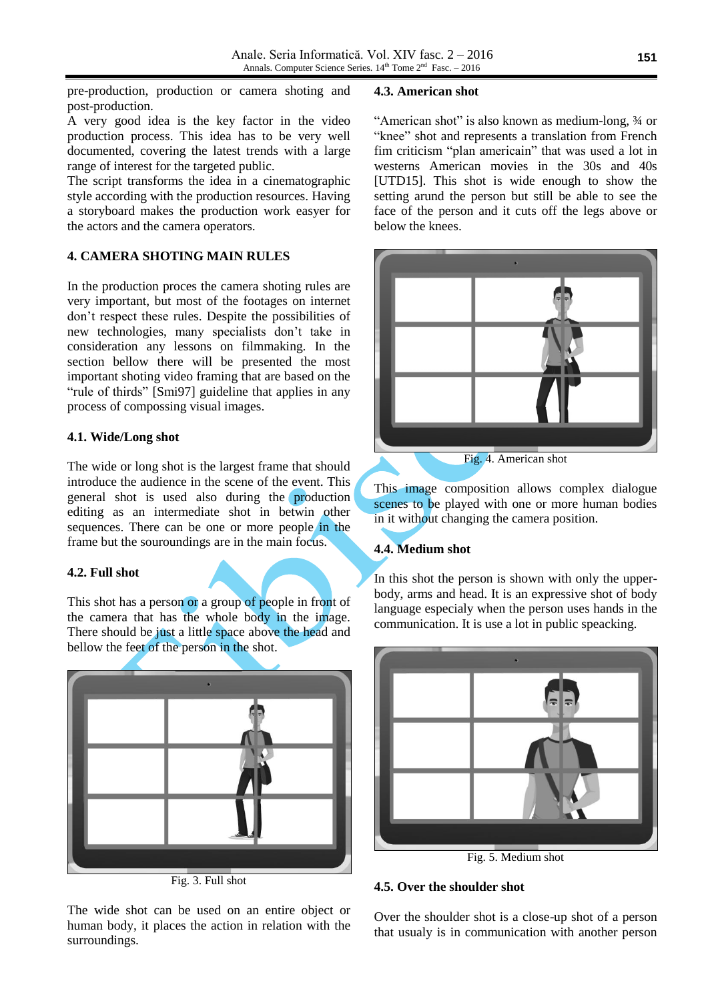pre-production, production or camera shoting and post-production.

A very good idea is the key factor in the video production process. This idea has to be very well documented, covering the latest trends with a large range of interest for the targeted public.

The script transforms the idea in a cinematographic style according with the production resources. Having a storyboard makes the production work easyer for the actors and the camera operators.

# **4. CAMERA SHOTING MAIN RULES**

In the production proces the camera shoting rules are very important, but most of the footages on internet don't respect these rules. Despite the possibilities of new technologies, many specialists don't take in consideration any lessons on filmmaking. In the section bellow there will be presented the most important shoting video framing that are based on the "rule of thirds" [Smi97] guideline that applies in any process of compossing visual images.

# **4.1. Wide/Long shot**

The wide or long shot is the largest frame that should introduce the audience in the scene of the event. This general shot is used also during the production editing as an intermediate shot in betwin other sequences. There can be one or more people in the frame but the souroundings are in the main focus.

# **4.2. Full shot**

This shot has a person or a group of people in front of the camera that has the whole body in the image. There should be just a little space above the head and bellow the feet of the person in the shot.



Fig. 3. Full shot

The wide shot can be used on an entire object or human body, it places the action in relation with the surroundings.

#### **4.3. American shot**

"American shot" is also known as medium-long, ¾ or "knee" shot and represents a translation from French fim criticism "plan americain" that was used a lot in westerns American movies in the 30s and 40s [UTD15]. This shot is wide enough to show the setting arund the person but still be able to see the face of the person and it cuts off the legs above or below the knees.



Fig. 4. American shot

This image composition allows complex dialogue scenes to be played with one or more human bodies in it without changing the camera position.

# **4.4. Medium shot**

In this shot the person is shown with only the upperbody, arms and head. It is an expressive shot of body language especialy when the person uses hands in the communication. It is use a lot in public speacking.



Fig. 5. Medium shot

# **4.5. Over the shoulder shot**

Over the shoulder shot is a close-up shot of a person that usualy is in communication with another person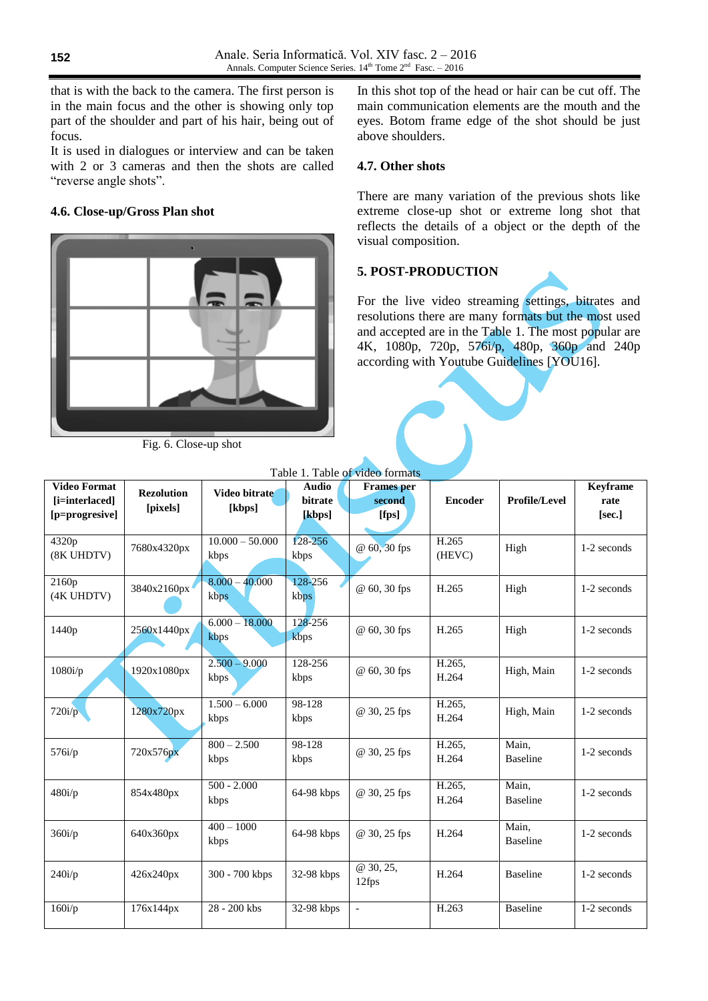that is with the back to the camera. The first person is in the main focus and the other is showing only top part of the shoulder and part of his hair, being out of focus.

It is used in dialogues or interview and can be taken with 2 or 3 cameras and then the shots are called "reverse angle shots".

# **4.6. Close-up/Gross Plan shot**



Fig. 6. Close-up shot

In this shot top of the head or hair can be cut off. The main communication elements are the mouth and the eyes. Botom frame edge of the shot should be just above shoulders.

## **4.7. Other shots**

There are many variation of the previous shots like extreme close-up shot or extreme long shot that reflects the details of a object or the depth of the visual composition.

# **5. POST-PRODUCTION**

For the live video streaming settings, bitrates and resolutions there are many formats but the most used and accepted are in the Table 1. The most popular are 4K, 1080p, 720p, 576i/p, 480p, 360p and 240p according with Youtube Guidelines [YOU16].

| <b>Video Format</b><br>[i=interlaced]<br>[p=progresive] | <b>Rezolution</b><br>[pixels] | Video bitrate<br>[kbps]   | <b>Audio</b><br>bitrate<br>[kbps] | <b>Frames</b> per<br>second<br>[fps] | <b>Encoder</b>  | Profile/Level            | <b>Keyframe</b><br>rate<br>[sec.] |
|---------------------------------------------------------|-------------------------------|---------------------------|-----------------------------------|--------------------------------------|-----------------|--------------------------|-----------------------------------|
| 4320p<br>(8K UHDTV)                                     | 7680x4320px                   | $10.000 - 50.000$<br>kbps | 128-256<br>kbps                   | @ 60, 30 fps                         | H.265<br>(HEVC) | High                     | 1-2 seconds                       |
| 2160p<br>(4K UHDTV)                                     | 3840x2160px                   | $8.000 - 40.000$<br>kbps  | 128-256<br>kbps                   | @ 60, 30 fps                         | H.265           | High                     | 1-2 seconds                       |
| 1440 <sub>p</sub>                                       | 2560x1440px                   | $6.000 - 18.000$<br>kbps  | 128-256<br>kbps                   | @ 60, 30 fps                         | H.265           | High                     | 1-2 seconds                       |
| $1080$ i/p                                              | 1920x1080px                   | $2.500 - 9.000$<br>kbps   | 128-256<br>kbps                   | @ 60, 30 fps                         | H.265,<br>H.264 | High, Main               | 1-2 seconds                       |
| 720i/p                                                  | 1280x720px                    | $1.500 - 6.000$<br>kbps   | 98-128<br>kbps                    | @ 30, 25 fps                         | H.265,<br>H.264 | High, Main               | 1-2 seconds                       |
| 576i/p                                                  | 720x576px                     | $800 - 2.500$<br>kbps     | 98-128<br>kbps                    | @ 30, 25 fps                         | H.265,<br>H.264 | Main.<br><b>Baseline</b> | 1-2 seconds                       |
| 480i/p                                                  | 854x480px                     | $500 - 2,000$<br>kbps     | 64-98 kbps                        | @ 30, 25 fps                         | H.265,<br>H.264 | Main,<br><b>Baseline</b> | 1-2 seconds                       |
| 360i/p                                                  | 640x360px                     | $400 - 1000$<br>kbps      | 64-98 kbps                        | @ 30, 25 fps                         | H.264           | Main,<br><b>Baseline</b> | 1-2 seconds                       |
| 240i/p                                                  | 426x240px                     | 300 - 700 kbps            | 32-98 kbps                        | @ 30, 25,<br>12fps                   | H.264           | <b>Baseline</b>          | 1-2 seconds                       |
| 160i/p                                                  | 176x144px                     | 28 - 200 kbs              | 32-98 kbps                        | $\blacksquare$                       | H.263           | <b>Baseline</b>          | 1-2 seconds                       |

Table 1. Table of video format